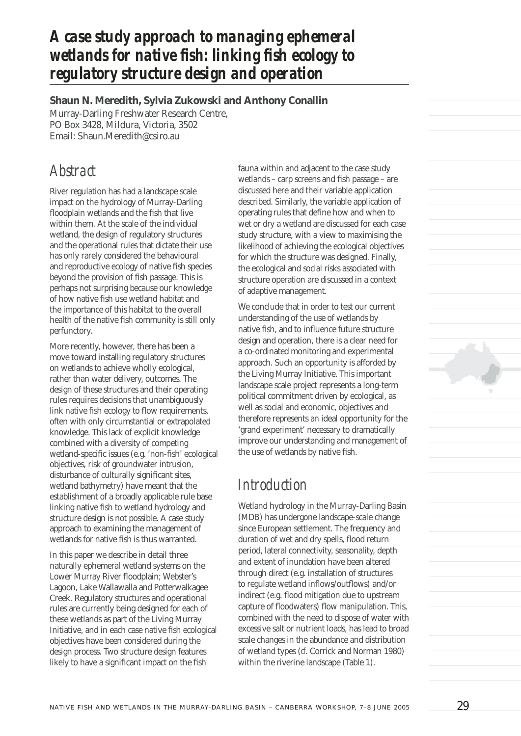## *A case study approach to managing ephemeral*  wetlands for native fish: linking fish ecology to *regulatory structure design and operation*

**Shaun N. Meredith, Sylvia Zukowski and Anthony Conallin** Murray-Darling Freshwater Research Centre, PO Box 3428, Mildura, Victoria, 3502 Email: Shaun.Meredith@csiro.au

### *Abstract*

River regulation has had a landscape scale impact on the hydrology of Murray-Darling floodplain wetlands and the fish that live within them. At the scale of the individual wetland, the design of regulatory structures and the operational rules that dictate their use has only rarely considered the behavioural and reproductive ecology of native fish species beyond the provision of fish passage. This is perhaps not surprising because our knowledge of how native fish use wetland habitat and the importance of this habitat to the overall health of the native fish community is still only perfunctory.

More recently, however, there has been a move toward installing regulatory structures on wetlands to achieve wholly ecological, rather than water delivery, outcomes. The design of these structures and their operating rules requires decisions that unambiguously link native fish ecology to flow requirements, often with only circumstantial or extrapolated knowledge. This lack of explicit knowledge combined with a diversity of competing wetland-specific issues (e.g. 'non-fish' ecological objectives, risk of groundwater intrusion, disturbance of culturally significant sites, wetland bathymetry) have meant that the establishment of a broadly applicable rule base linking native fish to wetland hydrology and structure design is not possible. A case study approach to examining the management of wetlands for native fish is thus warranted.

In this paper we describe in detail three naturally ephemeral wetland systems on the Lower Murray River floodplain; Webster's Lagoon, Lake Wallawalla and Potterwalkagee Creek. Regulatory structures and operational rules are currently being designed for each of these wetlands as part of the Living Murray Initiative, and in each case native fish ecological objectives have been considered during the design process. Two structure design features likely to have a significant impact on the fish

fauna within and adjacent to the case study wetlands – carp screens and fish passage – are discussed here and their variable application described. Similarly, the variable application of operating rules that define how and when to wet or dry a wetland are discussed for each case study structure, with a view to maximising the likelihood of achieving the ecological objectives for which the structure was designed. Finally, the ecological and social risks associated with structure operation are discussed in a context of adaptive management.

We conclude that in order to test our current understanding of the use of wetlands by native fish, and to influence future structure design and operation, there is a clear need for a co-ordinated monitoring and experimental approach. Such an opportunity is afforded by the Living Murray Initiative. This important landscape scale project represents a long-term political commitment driven by ecological, as well as social and economic, objectives and therefore represents an ideal opportunity for the 'grand experiment' necessary to dramatically improve our understanding and management of the use of wetlands by native fish.

### *Introduction*

Wetland hydrology in the Murray-Darling Basin (MDB) has undergone landscape-scale change since European settlement. The frequency and duration of wet and dry spells, flood return period, lateral connectivity, seasonality, depth and extent of inundation have been altered through direct (e.g. installation of structures to regulate wetland inflows/outflows) and/or indirect (e.g. flood mitigation due to upstream capture of floodwaters) flow manipulation. This, combined with the need to dispose of water with excessive salt or nutrient loads, has lead to broad scale changes in the abundance and distribution of wetland types (*cf.* Corrick and Norman 1980) within the riverine landscape (Table 1).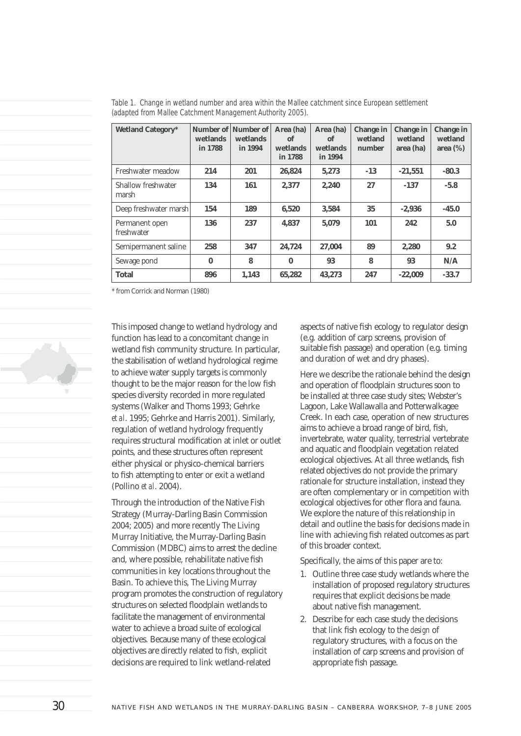| <b>Wetland Category*</b>     | wetlands<br>in 1788 | Number of Number of<br>wetlands<br>in 1994 | Area (ha)<br>of<br>wetlands<br>in 1788 | Area (ha)<br>of<br>wetlands<br>in 1994 | Change in<br>wetland<br>number | <b>Change in</b><br>wetland<br>area (ha) | <b>Change in</b><br>wetland<br>area $(\%)$ |
|------------------------------|---------------------|--------------------------------------------|----------------------------------------|----------------------------------------|--------------------------------|------------------------------------------|--------------------------------------------|
| Freshwater meadow            | 214                 | 201                                        | 26,824                                 | 5,273                                  | $-13$                          | $-21,551$                                | $-80.3$                                    |
| Shallow freshwater<br>marsh  | 134                 | 161                                        | 2.377                                  | 2.240                                  | 27                             | $-137$                                   | $-5.8$                                     |
| Deep freshwater marsh        | 154                 | 189                                        | 6.520                                  | 3.584                                  | 35                             | $-2.936$                                 | $-45.0$                                    |
| Permanent open<br>freshwater | 136                 | 237                                        | 4.837                                  | 5.079                                  | 101                            | 242                                      | 5.0                                        |
| Semipermanent saline         | 258                 | 347                                        | 24,724                                 | 27.004                                 | 89                             | 2.280                                    | 9.2                                        |
| Sewage pond                  | $\mathbf{0}$        | 8                                          | $\mathbf{0}$                           | 93                                     | 8                              | 93                                       | N/A                                        |
| <b>Total</b>                 | 896                 | 1.143                                      | 65,282                                 | 43,273                                 | 247                            | $-22,009$                                | $-33.7$                                    |

*Table 1. Change in wetland number and area within the Mallee catchment since European settlement (adapted from Mallee Catchment Management Authority 2005).*

\* from Corrick and Norman (1980)

This imposed change to wetland hydrology and function has lead to a concomitant change in wetland fish community structure. In particular, the stabilisation of wetland hydrological regime to achieve water supply targets is commonly thought to be the major reason for the low fish species diversity recorded in more regulated systems (Walker and Thoms 1993; Gehrke *et al*. 1995; Gehrke and Harris 2001). Similarly, regulation of wetland hydrology frequently requires structural modification at inlet or outlet points, and these structures often represent either physical or physico-chemical barriers to fish attempting to enter or exit a wetland (Pollino *et al*. 2004).

Through the introduction of the Native Fish Strategy (Murray-Darling Basin Commission 2004; 2005) and more recently The Living Murray Initiative, the Murray-Darling Basin Commission (MDBC) aims to arrest the decline and, where possible, rehabilitate native fish communities in key locations throughout the Basin. To achieve this, The Living Murray program promotes the construction of regulatory structures on selected floodplain wetlands to facilitate the management of environmental water to achieve a broad suite of ecological objectives. Because many of these ecological objectives are directly related to fish, explicit decisions are required to link wetland-related

aspects of native fish ecology to regulator design (e.g. addition of carp screens, provision of suitable fish passage) and operation (e.g. timing and duration of wet and dry phases).

Here we describe the rationale behind the design and operation of floodplain structures soon to be installed at three case study sites; Webster's Lagoon, Lake Wallawalla and Potterwalkagee Creek. In each case, operation of new structures aims to achieve a broad range of bird, fish, invertebrate, water quality, terrestrial vertebrate and aquatic and floodplain vegetation related ecological objectives. At all three wetlands, fish related objectives do not provide the primary rationale for structure installation, instead they are often complementary or in competition with ecological objectives for other flora and fauna. We explore the nature of this relationship in detail and outline the basis for decisions made in line with achieving fish related outcomes as part of this broader context.

Specifically, the aims of this paper are to:

- 1. Outline three case study wetlands where the installation of proposed regulatory structures requires that explicit decisions be made about native fish management.
- 2. Describe for each case study the decisions that link fish ecology to the *design* of regulatory structures, with a focus on the installation of carp screens and provision of appropriate fish passage.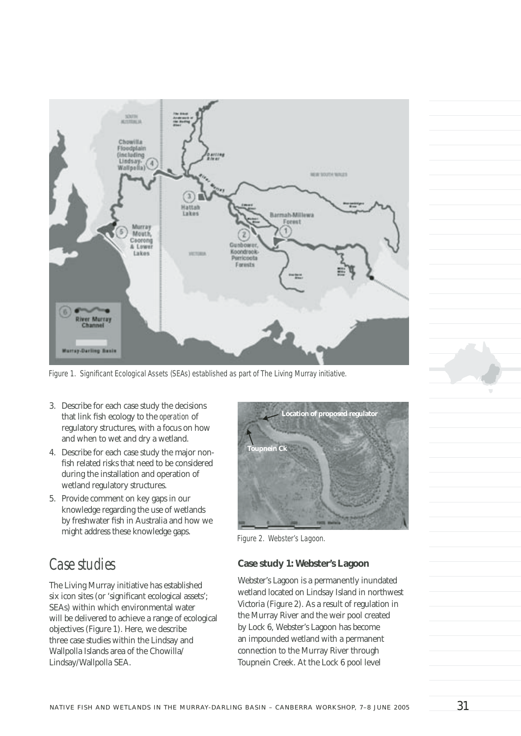

Figure 1. Significant Ecological Assets (SEAs) established as part of The Living Murray initiative.

- 3. Describe for each case study the decisions that link fish ecology to the *operation* of regulatory structures, with a focus on how and when to wet and dry a wetland.
- 4. Describe for each case study the major nonfish related risks that need to be considered during the installation and operation of wetland regulatory structures.
- 5. Provide comment on key gaps in our knowledge regarding the use of wetlands by freshwater fish in Australia and how we might address these knowledge gaps.

## *Case studies*

The Living Murray initiative has established six icon sites (or 'significant ecological assets'; SEAs) within which environmental water will be delivered to achieve a range of ecological objectives (Figure 1). Here, we describe three case studies within the Lindsay and Wallpolla Islands area of the Chowilla/ Lindsay/Wallpolla SEA.



*Figure 2. Webster's Lagoon.*

#### **Case study 1: Webster's Lagoon**

Webster's Lagoon is a permanently inundated wetland located on Lindsay Island in northwest Victoria (Figure 2). As a result of regulation in the Murray River and the weir pool created by Lock 6, Webster's Lagoon has become an impounded wetland with a permanent connection to the Murray River through Toupnein Creek. At the Lock 6 pool level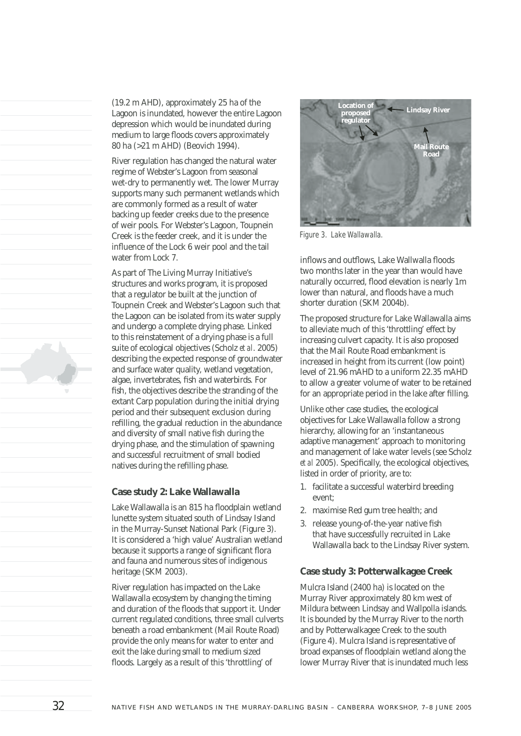(19.2 m AHD), approximately 25 ha of the Lagoon is inundated, however the entire Lagoon depression which would be inundated during medium to large floods covers approximately 80 ha (>21 m AHD) (Beovich 1994).

River regulation has changed the natural water regime of Webster's Lagoon from seasonal wet-dry to permanently wet. The lower Murray supports many such permanent wetlands which are commonly formed as a result of water backing up feeder creeks due to the presence of weir pools. For Webster's Lagoon, Toupnein Creek is the feeder creek, and it is under the influence of the Lock 6 weir pool and the tail water from Lock 7.

As part of The Living Murray Initiative's structures and works program, it is proposed that a regulator be built at the junction of Toupnein Creek and Webster's Lagoon such that the Lagoon can be isolated from its water supply and undergo a complete drying phase. Linked to this reinstatement of a drying phase is a full suite of ecological objectives (Scholz *et al*. 2005) describing the expected response of groundwater and surface water quality, wetland vegetation, algae, invertebrates, fish and waterbirds. For fish, the objectives describe the stranding of the extant Carp population during the initial drying period and their subsequent exclusion during refilling, the gradual reduction in the abundance and diversity of small native fish during the drying phase, and the stimulation of spawning and successful recruitment of small bodied natives during the refilling phase.

#### **Case study 2: Lake Wallawalla**

Lake Wallawalla is an 815 ha floodplain wetland lunette system situated south of Lindsay Island in the Murray-Sunset National Park (Figure 3). It is considered a 'high value' Australian wetland because it supports a range of significant flora and fauna and numerous sites of indigenous heritage (SKM 2003).

River regulation has impacted on the Lake Wallawalla ecosystem by changing the timing and duration of the floods that support it. Under current regulated conditions, three small culverts beneath a road embankment (Mail Route Road) provide the only means for water to enter and exit the lake during small to medium sized floods. Largely as a result of this 'throttling' of



*Figure 3. Lake Wallawalla.*

inflows and outflows, Lake Wallwalla floods two months later in the year than would have naturally occurred, flood elevation is nearly 1m lower than natural, and floods have a much shorter duration (SKM 2004b).

The proposed structure for Lake Wallawalla aims to alleviate much of this 'throttling' effect by increasing culvert capacity. It is also proposed that the Mail Route Road embankment is increased in height from its current (low point) level of 21.96 mAHD to a uniform 22.35 mAHD to allow a greater volume of water to be retained for an appropriate period in the lake after filling.

Unlike other case studies, the ecological objectives for Lake Wallawalla follow a strong hierarchy, allowing for an 'instantaneous adaptive management' approach to monitoring and management of lake water levels (see Scholz *et al* 2005). Specifically, the ecological objectives, listed in order of priority, are to:

- 1. facilitate a successful waterbird breeding event;
- 2. maximise Red gum tree health; and
- 3. release young-of-the-year native fish that have successfully recruited in Lake Wallawalla back to the Lindsay River system.

#### **Case study 3: Potterwalkagee Creek**

Mulcra Island (2400 ha) is located on the Murray River approximately 80 km west of Mildura between Lindsay and Wallpolla islands. It is bounded by the Murray River to the north and by Potterwalkagee Creek to the south (Figure 4). Mulcra Island is representative of broad expanses of floodplain wetland along the lower Murray River that is inundated much less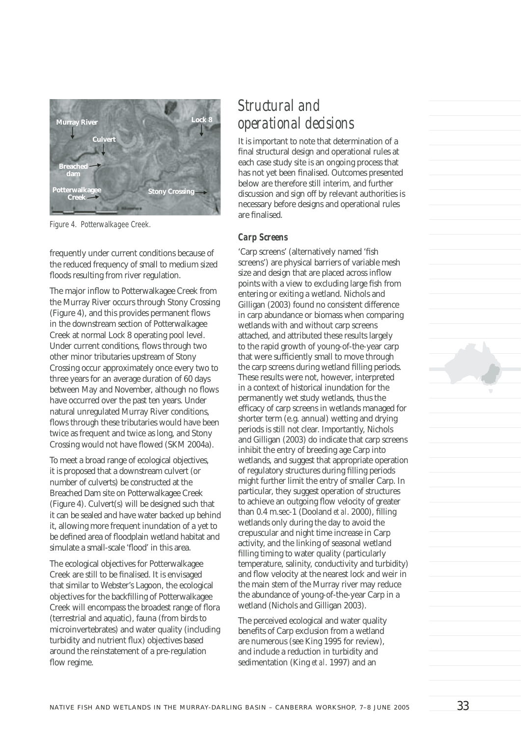

*Figure 4. Potterwalkagee Creek.*

frequently under current conditions because of the reduced frequency of small to medium sized floods resulting from river regulation.

The major inflow to Potterwalkagee Creek from the Murray River occurs through Stony Crossing (Figure 4), and this provides permanent flows in the downstream section of Potterwalkagee Creek at normal Lock 8 operating pool level. Under current conditions, flows through two other minor tributaries upstream of Stony Crossing occur approximately once every two to three years for an average duration of 60 days between May and November, although no flows have occurred over the past ten years. Under natural unregulated Murray River conditions, flows through these tributaries would have been twice as frequent and twice as long, and Stony Crossing would not have flowed (SKM 2004a).

To meet a broad range of ecological objectives, it is proposed that a downstream culvert (or number of culverts) be constructed at the Breached Dam site on Potterwalkagee Creek (Figure 4). Culvert(s) will be designed such that it can be sealed and have water backed up behind it, allowing more frequent inundation of a yet to be defined area of floodplain wetland habitat and simulate a small-scale 'flood' in this area.

The ecological objectives for Potterwalkagee Creek are still to be finalised. It is envisaged that similar to Webster's Lagoon, the ecological objectives for the backfilling of Potterwalkagee Creek will encompass the broadest range of flora (terrestrial and aquatic), fauna (from birds to microinvertebrates) and water quality (including turbidity and nutrient flux) objectives based around the reinstatement of a pre-regulation flow regime.

# *Structural and operational decisions*

It is important to note that determination of a final structural design and operational rules at each case study site is an ongoing process that has not yet been finalised. Outcomes presented below are therefore still interim, and further discussion and sign off by relevant authorities is necessary before designs and operational rules are finalised.

#### *Carp Screens*

'Carp screens' (alternatively named 'fish screens') are physical barriers of variable mesh size and design that are placed across inflow points with a view to excluding large fish from entering or exiting a wetland. Nichols and Gilligan (2003) found no consistent difference in carp abundance or biomass when comparing wetlands with and without carp screens attached, and attributed these results largely to the rapid growth of young-of-the-year carp that were sufficiently small to move through the carp screens during wetland filling periods. These results were not, however, interpreted in a context of historical inundation for the permanently wet study wetlands, thus the efficacy of carp screens in wetlands managed for shorter term (e.g. annual) wetting and drying periods is still not clear. Importantly, Nichols and Gilligan (2003) do indicate that carp screens inhibit the entry of breeding age Carp into wetlands, and suggest that appropriate operation of regulatory structures during filling periods might further limit the entry of smaller Carp. In particular, they suggest operation of structures to achieve an outgoing flow velocity of greater than  $0.4$  m.sec-1 (Dooland *et al.* 2000), filling wetlands only during the day to avoid the crepuscular and night time increase in Carp activity, and the linking of seasonal wetland filling timing to water quality (particularly temperature, salinity, conductivity and turbidity) and flow velocity at the nearest lock and weir in the main stem of the Murray river may reduce the abundance of young-of-the-year Carp in a wetland (Nichols and Gilligan 2003).

The perceived ecological and water quality benefits of Carp exclusion from a wetland are numerous (see King 1995 for review), and include a reduction in turbidity and sedimentation (King *et al*. 1997) and an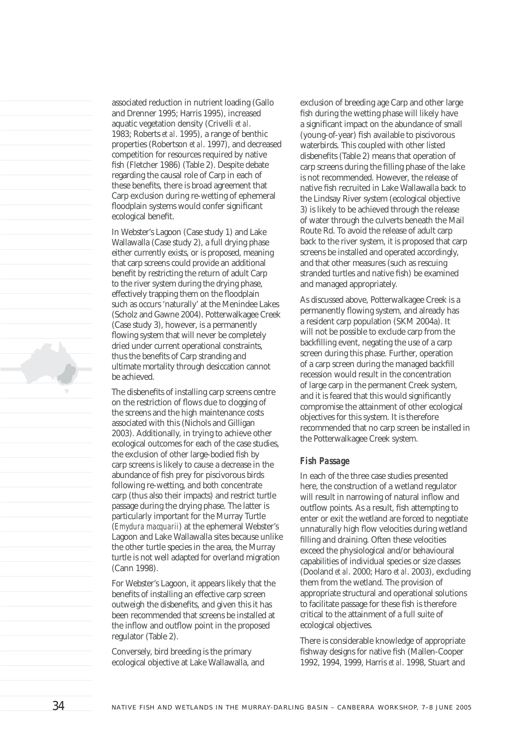associated reduction in nutrient loading (Gallo and Drenner 1995; Harris 1995), increased aquatic vegetation density (Crivelli *et al*. 1983; Roberts *et al*. 1995), a range of benthic properties (Robertson *et al*. 1997), and decreased competition for resources required by native fish (Fletcher 1986) (Table 2). Despite debate regarding the causal role of Carp in each of these benefits, there is broad agreement that Carp exclusion during re-wetting of ephemeral floodplain systems would confer significant ecological benefit.

In Webster's Lagoon (Case study 1) and Lake Wallawalla (Case study 2), a full drying phase either currently exists, or is proposed, meaning that carp screens could provide an additional benefit by restricting the return of adult Carp to the river system during the drying phase, effectively trapping them on the floodplain such as occurs 'naturally' at the Menindee Lakes (Scholz and Gawne 2004). Potterwalkagee Creek (Case study 3), however, is a permanently flowing system that will never be completely dried under current operational constraints, thus the benefits of Carp stranding and ultimate mortality through desiccation cannot be achieved.

The disbenefits of installing carp screens centre on the restriction of flows due to clogging of the screens and the high maintenance costs associated with this (Nichols and Gilligan 2003). Additionally, in trying to achieve other ecological outcomes for each of the case studies, the exclusion of other large-bodied fish by carp screens is likely to cause a decrease in the abundance of fish prey for piscivorous birds following re-wetting, and both concentrate carp (thus also their impacts) and restrict turtle passage during the drying phase. The latter is particularly important for the Murray Turtle (*Emydura macquarii*) at the ephemeral Webster's Lagoon and Lake Wallawalla sites because unlike the other turtle species in the area, the Murray turtle is not well adapted for overland migration (Cann 1998).

For Webster's Lagoon, it appears likely that the benefits of installing an effective carp screen outweigh the disbenefits, and given this it has been recommended that screens be installed at the inflow and outflow point in the proposed regulator (Table 2).

Conversely, bird breeding is the primary ecological objective at Lake Wallawalla, and

exclusion of breeding age Carp and other large fish during the wetting phase will likely have a significant impact on the abundance of small (young-of-year) fish available to piscivorous waterbirds. This coupled with other listed disbenefits (Table 2) means that operation of carp screens during the filling phase of the lake is not recommended. However, the release of native fish recruited in Lake Wallawalla back to the Lindsay River system (ecological objective 3) is likely to be achieved through the release of water through the culverts beneath the Mail Route Rd. To avoid the release of adult carp back to the river system, it is proposed that carp screens be installed and operated accordingly, and that other measures (such as rescuing stranded turtles and native fish) be examined and managed appropriately.

As discussed above, Potterwalkagee Creek is a permanently flowing system, and already has a resident carp population (SKM 2004a). It will not be possible to exclude carp from the backfilling event, negating the use of a carp screen during this phase. Further, operation of a carp screen during the managed backfill recession would result in the concentration of large carp in the permanent Creek system, and it is feared that this would significantly compromise the attainment of other ecological objectives for this system. It is therefore recommended that no carp screen be installed in the Potterwalkagee Creek system.

#### *Fish Passage*

In each of the three case studies presented here, the construction of a wetland regulator will result in narrowing of natural inflow and outflow points. As a result, fish attempting to enter or exit the wetland are forced to negotiate unnaturally high flow velocities during wetland filling and draining. Often these velocities exceed the physiological and/or behavioural capabilities of individual species or size classes (Dooland *et al*. 2000; Haro *et al*. 2003), excluding them from the wetland. The provision of appropriate structural and operational solutions to facilitate passage for these fish is therefore critical to the attainment of a full suite of ecological objectives.

There is considerable knowledge of appropriate fishway designs for native fish (Mallen-Cooper 1992, 1994, 1999, Harris *et al*. 1998, Stuart and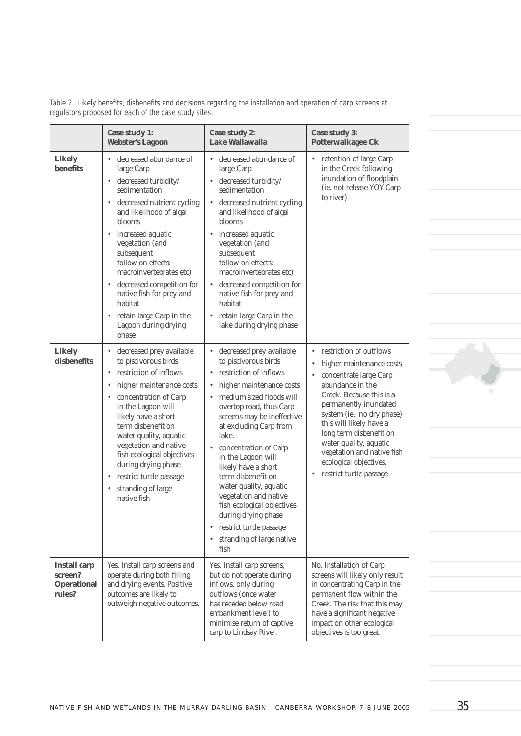Table 2. Likely benefits, disbenefits and decisions regarding the installation and operation of carp screens at *regulators proposed for each of the case study sites.*

|                                                                | Case study 1:<br><b>Webster's Lagoon</b>                                                                                                                                                                                                                                                                                                                                                                           | Case study 2:<br><b>Lake Wallawalla</b>                                                                                                                                                                                                                                                                                                                                                                                                                                                                              | Case study 3:<br>Potterwalkagee Ck                                                                                                                                                                                                                                                                                                                           |  |
|----------------------------------------------------------------|--------------------------------------------------------------------------------------------------------------------------------------------------------------------------------------------------------------------------------------------------------------------------------------------------------------------------------------------------------------------------------------------------------------------|----------------------------------------------------------------------------------------------------------------------------------------------------------------------------------------------------------------------------------------------------------------------------------------------------------------------------------------------------------------------------------------------------------------------------------------------------------------------------------------------------------------------|--------------------------------------------------------------------------------------------------------------------------------------------------------------------------------------------------------------------------------------------------------------------------------------------------------------------------------------------------------------|--|
| Likely<br>benefits                                             | decreased abundance of<br>$\bullet$<br>large Carp<br>• decreased turbidity/<br>sedimentation<br>• decreased nutrient cycling<br>and likelihood of algal<br>blooms<br>• increased aquatic<br>vegetation (and<br>subsequent<br>follow on effects:<br>macroinvertebrates etc)<br>• decreased competition for<br>native fish for prey and<br>habitat<br>retain large Carp in the<br>٠<br>Lagoon during drying<br>phase | decreased abundance of<br>$\bullet$<br>large Carp<br>decreased turbidity/<br>sedimentation<br>decreased nutrient cycling<br>and likelihood of algal<br>blooms<br>increased aquatic<br>vegetation (and<br>subsequent<br>follow on effects:<br>macroinvertebrates etc)<br>decreased competition for<br>native fish for prey and<br>habitat<br>retain large Carp in the<br>$\bullet$<br>lake during drying phase                                                                                                        | retention of large Carp<br>٠<br>in the Creek following<br>inundation of floodplain<br>(ie. not release YOY Carp<br>to river)                                                                                                                                                                                                                                 |  |
| <b>Likely</b><br>disbenefits                                   | decreased prey available<br>٠<br>to piscivorous birds<br>restriction of inflows<br>۰<br>higher maintenance costs<br>$\bullet$<br>• concentration of Carp<br>in the Lagoon will<br>likely have a short<br>term disbenefit on<br>water quality, aquatic<br>vegetation and native<br>fish ecological objectives<br>during drying phase<br>restrict turtle passage<br>٠<br>stranding of large<br>٠<br>native fish      | decreased prey available<br>$\bullet$<br>to piscivorous birds<br>restriction of inflows<br>higher maintenance costs<br>medium sized floods will<br>overtop road, thus Carp<br>screens may be ineffective<br>at excluding Carp from<br>lake.<br>concentration of Carp<br>in the Lagoon will<br>likely have a short<br>term disbenefit on<br>water quality, aquatic<br>vegetation and native<br>fish ecological objectives<br>during drying phase<br>restrict turtle passage<br>٠<br>stranding of large native<br>fish | restriction of outflows<br>higher maintenance costs<br>concentrate large Carp<br>abundance in the<br>Creek. Because this is a<br>permanently inundated<br>system (ie., no dry phase)<br>this will likely have a<br>long term disbenefit on<br>water quality, aquatic<br>vegetation and native fish<br>ecological objectives.<br>restrict turtle passage<br>٠ |  |
| <b>Install carp</b><br>screen?<br><b>Operational</b><br>rules? | Yes. Install carp screens and<br>operate during both filling<br>and drying events. Positive<br>outcomes are likely to<br>outweigh negative outcomes.                                                                                                                                                                                                                                                               | Yes. Install carp screens,<br>but do not operate during<br>inflows, only during<br>outflows (once water<br>has receded below road<br>embankment level) to<br>minimise return of captive<br>carp to Lindsay River.                                                                                                                                                                                                                                                                                                    | No. Installation of Carp<br>screens will likely only result<br>in concentrating Carp in the<br>permanent flow within the<br>Creek. The risk that this may<br>have a significant negative<br>impact on other ecological<br>objectives is too great.                                                                                                           |  |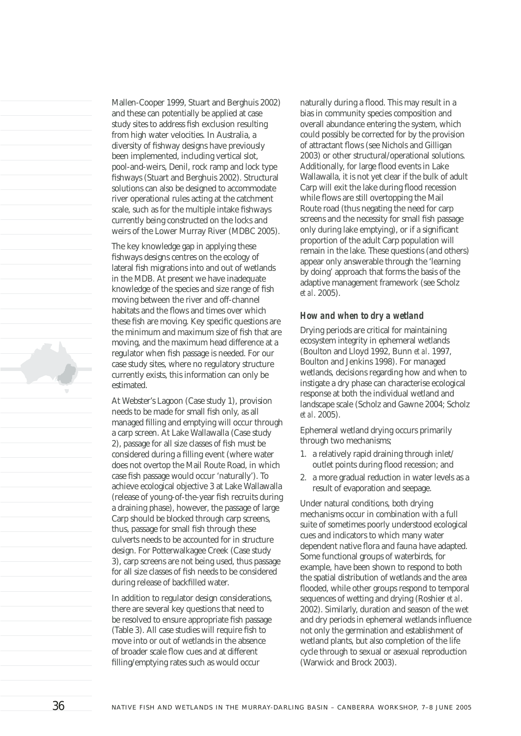Mallen-Cooper 1999, Stuart and Berghuis 2002) and these can potentially be applied at case study sites to address fish exclusion resulting from high water velocities. In Australia, a diversity of fishway designs have previously been implemented, including vertical slot, pool-and-weirs, Denil, rock ramp and lock type fishways (Stuart and Berghuis 2002). Structural solutions can also be designed to accommodate river operational rules acting at the catchment scale, such as for the multiple intake fishways currently being constructed on the locks and weirs of the Lower Murray River (MDBC 2005).

The key knowledge gap in applying these fishways designs centres on the ecology of lateral fish migrations into and out of wetlands in the MDB. At present we have inadequate knowledge of the species and size range of fish moving between the river and off-channel habitats and the flows and times over which these fish are moving. Key specific questions are the minimum and maximum size of fish that are moving, and the maximum head difference at a regulator when fish passage is needed. For our case study sites, where no regulatory structure currently exists, this information can only be estimated.

At Webster's Lagoon (Case study 1), provision needs to be made for small fish only, as all managed filling and emptying will occur through a carp screen. At Lake Wallawalla (Case study 2), passage for all size classes of fish must be considered during a filling event (where water does not overtop the Mail Route Road, in which case fish passage would occur 'naturally'). To achieve ecological objective 3 at Lake Wallawalla (release of young-of-the-year fish recruits during a draining phase), however, the passage of large Carp should be blocked through carp screens, thus, passage for small fish through these culverts needs to be accounted for in structure design. For Potterwalkagee Creek (Case study 3), carp screens are not being used, thus passage for all size classes of fish needs to be considered during release of backfilled water.

In addition to regulator design considerations, there are several key questions that need to be resolved to ensure appropriate fish passage (Table 3). All case studies will require fish to move into or out of wetlands in the absence of broader scale flow cues and at different filling/emptying rates such as would occur

naturally during a flood. This may result in a bias in community species composition and overall abundance entering the system, which could possibly be corrected for by the provision of attractant flows (see Nichols and Gilligan 2003) or other structural/operational solutions. Additionally, for large flood events in Lake Wallawalla, it is not yet clear if the bulk of adult Carp will exit the lake during flood recession while flows are still overtopping the Mail Route road (thus negating the need for carp screens and the necessity for small fish passage only during lake emptying), or if a significant proportion of the adult Carp population will remain in the lake. These questions (and others) appear only answerable through the 'learning by doing' approach that forms the basis of the adaptive management framework (see Scholz *et al*. 2005).

#### *How and when to dry a wetland*

Drying periods are critical for maintaining ecosystem integrity in ephemeral wetlands (Boulton and Lloyd 1992, Bunn *et al*. 1997, Boulton and Jenkins 1998). For managed wetlands, decisions regarding how and when to instigate a dry phase can characterise ecological response at both the individual wetland and landscape scale (Scholz and Gawne 2004; Scholz *et al*. 2005).

Ephemeral wetland drying occurs primarily through two mechanisms;

- 1. a relatively rapid draining through inlet/ outlet points during flood recession; and
- 2. a more gradual reduction in water levels as a result of evaporation and seepage.

Under natural conditions, both drying mechanisms occur in combination with a full suite of sometimes poorly understood ecological cues and indicators to which many water dependent native flora and fauna have adapted. Some functional groups of waterbirds, for example, have been shown to respond to both the spatial distribution of wetlands and the area flooded, while other groups respond to temporal sequences of wetting and drying (Roshier *et al*. 2002). Similarly, duration and season of the wet and dry periods in ephemeral wetlands influence not only the germination and establishment of wetland plants, but also completion of the life cycle through to sexual or asexual reproduction (Warwick and Brock 2003).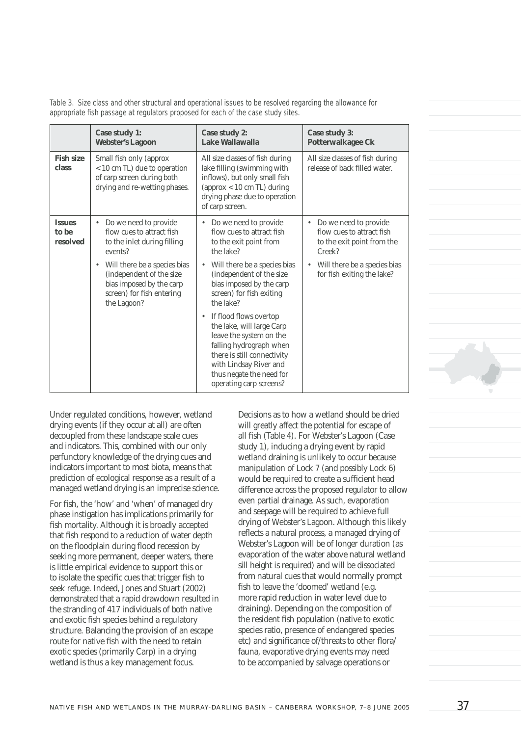*Table 3. Size class and other structural and operational issues to be resolved regarding the allowance for*  appropriate fish passage at regulators proposed for each of the case study sites.

|                                    | Case study 1:<br><b>Webster's Lagoon</b>                                                                                                                                                                                                           | Case study 2:<br>Lake Wallawalla                                                                                                                                                                                                                                                                                                                                                                                                                                          | <b>Case study 3:</b><br>Potterwalkagee Ck                                                                                                                                          |  |
|------------------------------------|----------------------------------------------------------------------------------------------------------------------------------------------------------------------------------------------------------------------------------------------------|---------------------------------------------------------------------------------------------------------------------------------------------------------------------------------------------------------------------------------------------------------------------------------------------------------------------------------------------------------------------------------------------------------------------------------------------------------------------------|------------------------------------------------------------------------------------------------------------------------------------------------------------------------------------|--|
| <b>Fish size</b><br>class          | Small fish only (approx<br>< 10 cm TL) due to operation<br>of carp screen during both<br>drying and re-wetting phases.                                                                                                                             | All size classes of fish during<br>lake filling (swimming with<br>inflows), but only small fish<br>(approx < 10 cm TL) during<br>drying phase due to operation<br>of carp screen.                                                                                                                                                                                                                                                                                         | All size classes of fish during<br>release of back filled water.                                                                                                                   |  |
| <b>Issues</b><br>to be<br>resolved | Do we need to provide<br>٠<br>flow cues to attract fish<br>to the inlet during filling<br>events?<br>Will there be a species bias<br>$\bullet$<br>(independent of the size<br>bias imposed by the carp<br>screen) for fish entering<br>the Lagoon? | Do we need to provide<br>٠<br>flow cues to attract fish<br>to the exit point from<br>the lake?<br>Will there be a species bias<br>$\bullet$<br>(independent of the size<br>bias imposed by the carp<br>screen) for fish exiting<br>the lake?<br>If flood flows overtop<br>the lake, will large Carp<br>leave the system on the<br>falling hydrograph when<br>there is still connectivity<br>with Lindsay River and<br>thus negate the need for<br>operating carp screens? | Do we need to provide<br>$\bullet$<br>flow cues to attract fish<br>to the exit point from the<br>Creek?<br>Will there be a species bias<br>$\bullet$<br>for fish exiting the lake? |  |

Under regulated conditions, however, wetland drying events (if they occur at all) are often decoupled from these landscape scale cues and indicators. This, combined with our only perfunctory knowledge of the drying cues and indicators important to most biota, means that prediction of ecological response as a result of a managed wetland drying is an imprecise science.

For fish, the 'how' and 'when' of managed dry phase instigation has implications primarily for fish mortality. Although it is broadly accepted that fish respond to a reduction of water depth on the floodplain during flood recession by seeking more permanent, deeper waters, there is little empirical evidence to support this or to isolate the specific cues that trigger fish to seek refuge. Indeed, Jones and Stuart (2002) demonstrated that a rapid drawdown resulted in the stranding of 417 individuals of both native and exotic fish species behind a regulatory structure. Balancing the provision of an escape route for native fish with the need to retain exotic species (primarily Carp) in a drying wetland is thus a key management focus.

Decisions as to how a wetland should be dried will greatly affect the potential for escape of all fish (Table 4). For Webster's Lagoon (Case study 1), inducing a drying event by rapid wetland draining is unlikely to occur because manipulation of Lock 7 (and possibly Lock 6) would be required to create a sufficient head difference across the proposed regulator to allow even partial drainage. As such, evaporation and seepage will be required to achieve full drying of Webster's Lagoon. Although this likely reflects a natural process, a managed drying of Webster's Lagoon will be of longer duration (as evaporation of the water above natural wetland sill height is required) and will be dissociated from natural cues that would normally prompt fish to leave the 'doomed' wetland (e.g. more rapid reduction in water level due to draining). Depending on the composition of the resident fish population (native to exotic species ratio, presence of endangered species etc) and significance of/threats to other flora/ fauna, evaporative drying events may need to be accompanied by salvage operations or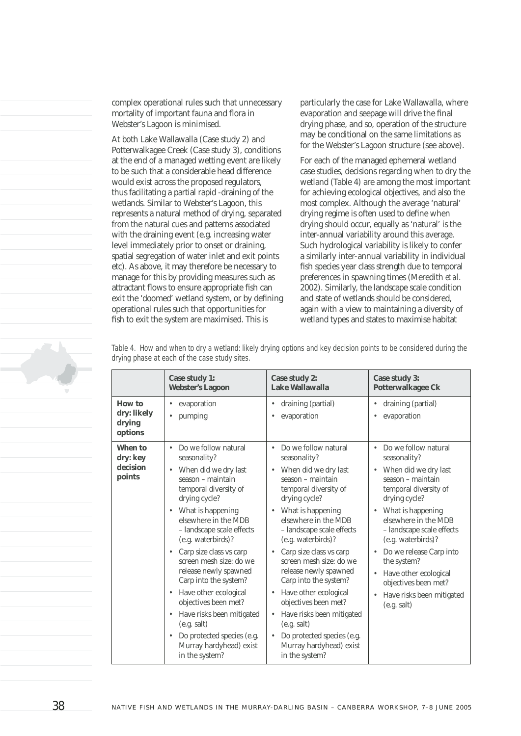complex operational rules such that unnecessary mortality of important fauna and flora in Webster's Lagoon is minimised.

At both Lake Wallawalla (Case study 2) and Potterwalkagee Creek (Case study 3), conditions at the end of a managed wetting event are likely to be such that a considerable head difference would exist across the proposed regulators, thus facilitating a partial rapid -draining of the wetlands. Similar to Webster's Lagoon, this represents a natural method of drying, separated from the natural cues and patterns associated with the draining event (e.g. increasing water level immediately prior to onset or draining, spatial segregation of water inlet and exit points etc). As above, it may therefore be necessary to manage for this by providing measures such as attractant flows to ensure appropriate fish can exit the 'doomed' wetland system, or by defining operational rules such that opportunities for fish to exit the system are maximised. This is

particularly the case for Lake Wallawalla, where evaporation and seepage will drive the final drying phase, and so, operation of the structure may be conditional on the same limitations as for the Webster's Lagoon structure (see above).

For each of the managed ephemeral wetland case studies, decisions regarding when to dry the wetland (Table 4) are among the most important for achieving ecological objectives, and also the most complex. Although the average 'natural' drying regime is often used to define when drying should occur, equally as 'natural' is the inter-annual variability around this average. Such hydrological variability is likely to confer a similarly inter-annual variability in individual fish species year class strength due to temporal preferences in spawning times (Meredith *et al*. 2002). Similarly, the landscape scale condition and state of wetlands should be considered, again with a view to maintaining a diversity of wetland types and states to maximise habitat

|                                            | Case study 1:<br><b>Webster's Lagoon</b>                                                                                                                                                                                                                                                                                                                                                                                                                                                                                                               | Case study 2:<br>Lake Wallawalla                                                                                                                                                                                                                                                                                                                                                                                                                                                                                                                                               | Case study 3:<br><b>Potterwalkagee Ck</b>                                                                                                                                                                                                                                                                                                                                                                                                        |
|--------------------------------------------|--------------------------------------------------------------------------------------------------------------------------------------------------------------------------------------------------------------------------------------------------------------------------------------------------------------------------------------------------------------------------------------------------------------------------------------------------------------------------------------------------------------------------------------------------------|--------------------------------------------------------------------------------------------------------------------------------------------------------------------------------------------------------------------------------------------------------------------------------------------------------------------------------------------------------------------------------------------------------------------------------------------------------------------------------------------------------------------------------------------------------------------------------|--------------------------------------------------------------------------------------------------------------------------------------------------------------------------------------------------------------------------------------------------------------------------------------------------------------------------------------------------------------------------------------------------------------------------------------------------|
| How to<br>dry: likely<br>drying<br>options | evaporation<br>pumping                                                                                                                                                                                                                                                                                                                                                                                                                                                                                                                                 | draining (partial)<br>٠<br>evaporation<br>٠                                                                                                                                                                                                                                                                                                                                                                                                                                                                                                                                    | draining (partial)<br>$\bullet$<br>evaporation<br>$\bullet$                                                                                                                                                                                                                                                                                                                                                                                      |
| When to<br>dry: key<br>decision<br>points  | Do we follow natural<br>seasonality?<br>When did we dry last<br>٠<br>season - maintain<br>temporal diversity of<br>drying cycle?<br>• What is happening<br>elsewhere in the MDB<br>- landscape scale effects<br>(e.g. waterbirds)?<br>Carp size class vs carp<br>$\bullet$<br>screen mesh size: do we<br>release newly spawned<br>Carp into the system?<br>Have other ecological<br>٠<br>objectives been met?<br>Have risks been mitigated<br>$\bullet$<br>(e.g. salt)<br>Do protected species (e.g.<br>٠<br>Murray hardyhead) exist<br>in the system? | Do we follow natural<br>٠<br>seasonality?<br>When did we dry last<br>٠<br>season - maintain<br>temporal diversity of<br>drying cycle?<br>What is happening<br>$\bullet$<br>elsewhere in the MDB<br>- landscape scale effects<br>(e.g. waterbirds)?<br>Carp size class vs carp<br>$\bullet$<br>screen mesh size: do we<br>release newly spawned<br>Carp into the system?<br>Have other ecological<br>$\bullet$<br>objectives been met?<br>Have risks been mitigated<br>٠<br>(e.g. salt)<br>Do protected species (e.g.<br>$\bullet$<br>Murray hardyhead) exist<br>in the system? | Do we follow natural<br>$\bullet$<br>seasonality?<br>When did we dry last<br>$\bullet$<br>season - maintain<br>temporal diversity of<br>drying cycle?<br>What is happening<br>$\bullet$<br>elsewhere in the MDB<br>- landscape scale effects<br>(e.g. waterbirds)?<br>Do we release Carp into<br>$\bullet$<br>the system?<br>Have other ecological<br>$\bullet$<br>objectives been met?<br>Have risks been mitigated<br>$\bullet$<br>(e.g. salt) |

Table 4. How and when to dry a wetland: likely drying options and key decision points to be considered during the *drying phase at each of the case study sites.*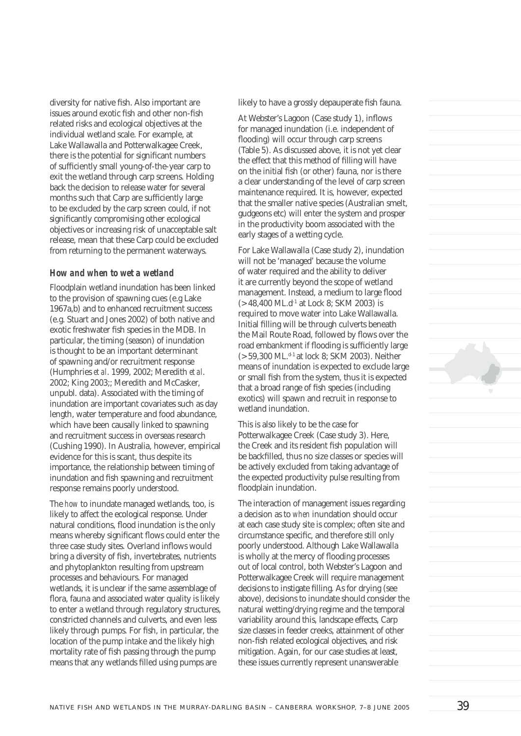diversity for native fish. Also important are issues around exotic fish and other non-fish related risks and ecological objectives at the individual wetland scale. For example, at Lake Wallawalla and Potterwalkagee Creek, there is the potential for significant numbers of sufficiently small young-of-the-year carp to exit the wetland through carp screens. Holding back the decision to release water for several months such that Carp are sufficiently large to be excluded by the carp screen could, if not significantly compromising other ecological objectives or increasing risk of unacceptable salt release, mean that these Carp could be excluded from returning to the permanent waterways.

#### *How and when to wet a wetland*

Floodplain wetland inundation has been linked to the provision of spawning cues (e.g Lake 1967a,b) and to enhanced recruitment success (e.g. Stuart and Jones 2002) of both native and exotic freshwater fish species in the MDB. In particular, the timing (season) of inundation is thought to be an important determinant of spawning and/or recruitment response (Humphries *et al*. 1999, 2002; Meredith *et al*. 2002; King 2003;; Meredith and McCasker, unpubl. data). Associated with the timing of inundation are important covariates such as day length, water temperature and food abundance, which have been causally linked to spawning and recruitment success in overseas research (Cushing 1990). In Australia, however, empirical evidence for this is scant, thus despite its importance, the relationship between timing of inundation and fish spawning and recruitment response remains poorly understood.

The *how* to inundate managed wetlands, too, is likely to affect the ecological response. Under natural conditions, flood inundation is the only means whereby significant flows could enter the three case study sites. Overland inflows would bring a diversity of fish, invertebrates, nutrients and phytoplankton resulting from upstream processes and behaviours. For managed wetlands, it is unclear if the same assemblage of flora, fauna and associated water quality is likely to enter a wetland through regulatory structures, constricted channels and culverts, and even less likely through pumps. For fish, in particular, the location of the pump intake and the likely high mortality rate of fish passing through the pump means that any wetlands filled using pumps are

likely to have a grossly depauperate fish fauna.

At Webster's Lagoon (Case study 1), inflows for managed inundation (i.e. independent of flooding) will occur through carp screens (Table 5). As discussed above, it is not yet clear the effect that this method of filling will have on the initial fish (or other) fauna, nor is there a clear understanding of the level of carp screen maintenance required. It is, however, expected that the smaller native species (Australian smelt, gudgeons etc) will enter the system and prosper in the productivity boom associated with the early stages of a wetting cycle.

For Lake Wallawalla (Case study 2), inundation will not be 'managed' because the volume of water required and the ability to deliver it are currently beyond the scope of wetland management. Instead, a medium to large flood  $(> 48,400 \text{ ML} \cdot d^{1}$  at Lock 8: SKM 2003) is required to move water into Lake Wallawalla. Initial filling will be through culverts beneath the Mail Route Road, followed by flows over the road embankment if flooding is sufficiently large (> 59,300 ML.<sup>d-1</sup> at lock 8; SKM 2003). Neither means of inundation is expected to exclude large or small fish from the system, thus it is expected that a broad range of fish species (including exotics) will spawn and recruit in response to wetland inundation.

This is also likely to be the case for Potterwalkagee Creek (Case study 3). Here, the Creek and its resident fish population will be backfilled, thus no size classes or species will be actively excluded from taking advantage of the expected productivity pulse resulting from floodplain inundation.

The interaction of management issues regarding a decision as to *when* inundation should occur at each case study site is complex; often site and circumstance specific, and therefore still only poorly understood. Although Lake Wallawalla is wholly at the mercy of flooding processes out of local control, both Webster's Lagoon and Potterwalkagee Creek will require management decisions to instigate filling. As for drying (see above), decisions to inundate should consider the natural wetting/drying regime and the temporal variability around this, landscape effects, Carp size classes in feeder creeks, attainment of other non-fish related ecological objectives, and risk mitigation. Again, for our case studies at least, these issues currently represent unanswerable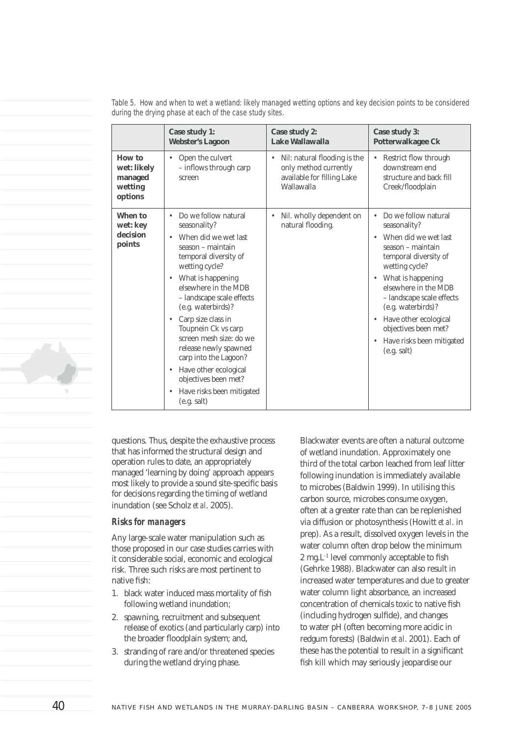|                                                        | Case study 1:<br><b>Webster's Lagoon</b>                                                                                                                                                                                                                                                                                                                                                                                                                                                              | Case study 2:<br>Lake Wallawalla                                                                  | Case study 3:<br>Potterwalkagee Ck                                                                                                                                                                                                                                                                                                                                                         |
|--------------------------------------------------------|-------------------------------------------------------------------------------------------------------------------------------------------------------------------------------------------------------------------------------------------------------------------------------------------------------------------------------------------------------------------------------------------------------------------------------------------------------------------------------------------------------|---------------------------------------------------------------------------------------------------|--------------------------------------------------------------------------------------------------------------------------------------------------------------------------------------------------------------------------------------------------------------------------------------------------------------------------------------------------------------------------------------------|
| How to<br>wet: likely<br>managed<br>wetting<br>options | Open the culvert<br>٠<br>- inflows through carp<br>screen                                                                                                                                                                                                                                                                                                                                                                                                                                             | Nil: natural flooding is the<br>only method currently<br>available for filling Lake<br>Wallawalla | Restrict flow through<br>$\bullet$<br>downstream end<br>structure and back fill<br>Creek/floodplain                                                                                                                                                                                                                                                                                        |
| When to<br>wet: key<br>decision<br>points              | Do we follow natural<br>$\bullet$<br>seasonality?<br>When did we wet last<br>season - maintain<br>temporal diversity of<br>wetting cycle?<br>What is happening<br>$\bullet$<br>elsewhere in the MDB<br>- landscape scale effects<br>(e.g. waterbirds)?<br>Carp size class in<br>$\bullet$<br>Toupnein Ck vs carp<br>screen mesh size: do we<br>release newly spawned<br>carp into the Lagoon?<br>Have other ecological<br>$\bullet$<br>objectives been met?<br>Have risks been mitigated<br>$\bullet$ | Nil. wholly dependent on<br>۰<br>natural flooding.                                                | Do we follow natural<br>$\bullet$<br>seasonality?<br>When did we wet last<br>$\bullet$<br>season - maintain<br>temporal diversity of<br>wetting cycle?<br>What is happening<br>$\bullet$<br>elsewhere in the MDB<br>- landscape scale effects<br>(e.g. waterbirds)?<br>Have other ecological<br>$\bullet$<br>objectives been met?<br>Have risks been mitigated<br>$\bullet$<br>(e.g. salt) |
|                                                        | (e.g. salt)                                                                                                                                                                                                                                                                                                                                                                                                                                                                                           |                                                                                                   |                                                                                                                                                                                                                                                                                                                                                                                            |

*Table 5. How and when to wet a wetland: likely managed wetting options and key decision points to be considered during the drying phase at each of the case study sites.*

questions. Thus, despite the exhaustive process that has informed the structural design and operation rules to date, an appropriately managed 'learning by doing' approach appears most likely to provide a sound site-specific basis for decisions regarding the timing of wetland inundation (see Scholz *et al*. 2005).

#### *Risks for managers*

Any large-scale water manipulation such as those proposed in our case studies carries with it considerable social, economic and ecological risk. Three such risks are most pertinent to native fish:

- 1. black water induced mass mortality of fish following wetland inundation;
- 2. spawning, recruitment and subsequent release of exotics (and particularly carp) into the broader floodplain system; and,
- 3. stranding of rare and/or threatened species during the wetland drying phase.

Blackwater events are often a natural outcome of wetland inundation. Approximately one third of the total carbon leached from leaf litter following inundation is immediately available to microbes (Baldwin 1999). In utilising this carbon source, microbes consume oxygen, often at a greater rate than can be replenished via diffusion or photosynthesis (Howitt *et al*. in prep). As a result, dissolved oxygen levels in the water column often drop below the minimum  $2$  mg.  $L^{-1}$  level commonly acceptable to fish (Gehrke 1988). Blackwater can also result in increased water temperatures and due to greater water column light absorbance, an increased concentration of chemicals toxic to native fish (including hydrogen sulfide), and changes to water pH (often becoming more acidic in redgum forests) (Baldwin *et al*. 2001). Each of these has the potential to result in a significant fish kill which may seriously jeopardise our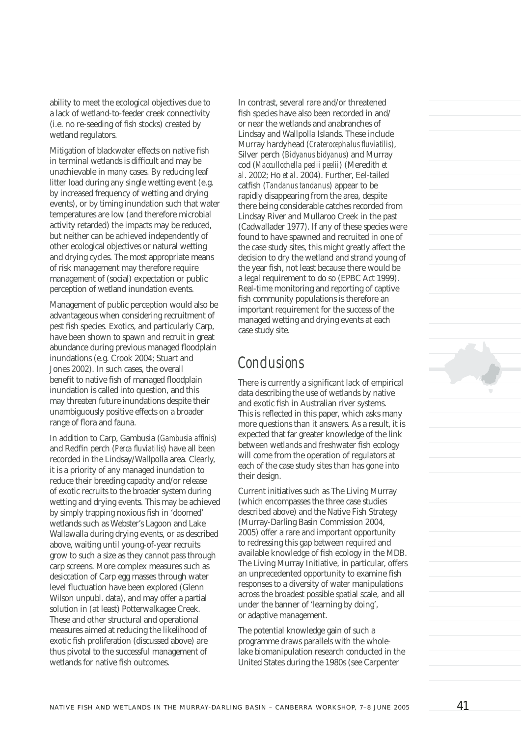ability to meet the ecological objectives due to a lack of wetland-to-feeder creek connectivity (i.e. no re-seeding of fish stocks) created by wetland regulators.

Mitigation of blackwater effects on native fish in terminal wetlands is difficult and may be unachievable in many cases. By reducing leaf litter load during any single wetting event (e.g. by increased frequency of wetting and drying events), or by timing inundation such that water temperatures are low (and therefore microbial activity retarded) the impacts may be reduced, but neither can be achieved independently of other ecological objectives or natural wetting and drying cycles. The most appropriate means of risk management may therefore require management of (social) expectation or public perception of wetland inundation events.

Management of public perception would also be advantageous when considering recruitment of pest fish species. Exotics, and particularly Carp, have been shown to spawn and recruit in great abundance during previous managed floodplain inundations (e.g. Crook 2004; Stuart and Jones 2002). In such cases, the overall benefit to native fish of managed floodplain inundation is called into question, and this may threaten future inundations despite their unambiguously positive effects on a broader range of flora and fauna.

In addition to Carp, Gambusia (*Gambusia affinis*) and Redfin perch (*Perca fluviatilis*) have all been recorded in the Lindsay/Wallpolla area. Clearly, it is a priority of any managed inundation to reduce their breeding capacity and/or release of exotic recruits to the broader system during wetting and drying events. This may be achieved by simply trapping noxious fish in 'doomed' wetlands such as Webster's Lagoon and Lake Wallawalla during drying events, or as described above, waiting until young-of-year recruits grow to such a size as they cannot pass through carp screens. More complex measures such as desiccation of Carp egg masses through water level fluctuation have been explored (Glenn Wilson unpubl. data), and may offer a partial solution in (at least) Potterwalkagee Creek. These and other structural and operational measures aimed at reducing the likelihood of exotic fish proliferation (discussed above) are thus pivotal to the successful management of wetlands for native fish outcomes.

In contrast, several rare and/or threatened fish species have also been recorded in and/ or near the wetlands and anabranches of Lindsay and Wallpolla Islands. These include Murray hardyhead (*Craterocephalus fl uviatilis*), Silver perch (*Bidyanus bidyanus*) and Murray cod (*Maccullochella peelii peelii*) (Meredith *et al*. 2002; Ho *et al*. 2004). Further, Eel-tailed catfish (*Tandanus tandanus*) appear to be rapidly disappearing from the area, despite there being considerable catches recorded from Lindsay River and Mullaroo Creek in the past (Cadwallader 1977). If any of these species were found to have spawned and recruited in one of the case study sites, this might greatly affect the decision to dry the wetland and strand young of the year fish, not least because there would be a legal requirement to do so (EPBC Act 1999). Real-time monitoring and reporting of captive fish community populations is therefore an important requirement for the success of the managed wetting and drying events at each case study site.

### *Conclusions*

There is currently a significant lack of empirical data describing the use of wetlands by native and exotic fish in Australian river systems. This is reflected in this paper, which asks many more questions than it answers. As a result, it is expected that far greater knowledge of the link between wetlands and freshwater fish ecology will come from the operation of regulators at each of the case study sites than has gone into their design.

Current initiatives such as The Living Murray (which encompasses the three case studies described above) and the Native Fish Strategy (Murray-Darling Basin Commission 2004, 2005) offer a rare and important opportunity to redressing this gap between required and available knowledge of fish ecology in the MDB. The Living Murray Initiative, in particular, offers an unprecedented opportunity to examine fish responses to a diversity of water manipulations across the broadest possible spatial scale, and all under the banner of 'learning by doing', or adaptive management.

The potential knowledge gain of such a programme draws parallels with the wholelake biomanipulation research conducted in the United States during the 1980s (see Carpenter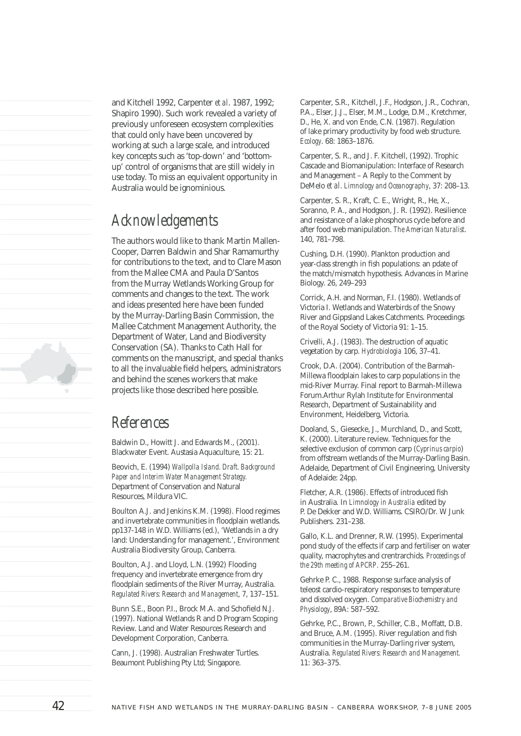and Kitchell 1992, Carpenter *et al*. 1987, 1992; Shapiro 1990). Such work revealed a variety of previously unforeseen ecosystem complexities that could only have been uncovered by working at such a large scale, and introduced key concepts such as 'top-down' and 'bottomup' control of organisms that are still widely in use today. To miss an equivalent opportunity in Australia would be ignominious.

### *Acknowledgements*

The authors would like to thank Martin Mallen-Cooper, Darren Baldwin and Shar Ramamurthy for contributions to the text, and to Clare Mason from the Mallee CMA and Paula D'Santos from the Murray Wetlands Working Group for comments and changes to the text. The work and ideas presented here have been funded by the Murray-Darling Basin Commission, the Mallee Catchment Management Authority, the Department of Water, Land and Biodiversity Conservation (SA). Thanks to Cath Hall for comments on the manuscript, and special thanks to all the invaluable field helpers, administrators and behind the scenes workers that make projects like those described here possible.

# *References*

Baldwin D., Howitt J. and Edwards M., (2001). Blackwater Event. Austasia Aquaculture, 15: 21.

Beovich, E. (1994) *Wallpolla Island. Draft. Background Paper and Interim Water Management Strategy.* Department of Conservation and Natural Resources, Mildura VIC.

Boulton A.J. and Jenkins K.M. (1998). Flood regimes and invertebrate communities in floodplain wetlands. pp137-148 in W.D. Williams (ed.), 'Wetlands in a dry land: Understanding for management.', Environment Australia Biodiversity Group, Canberra.

Boulton, A.J. and Lloyd, L.N. (1992) Flooding frequency and invertebrate emergence from dry floodplain sediments of the River Murray, Australia. *Regulated Rivers: Research and Management*, 7, 137–151.

Bunn S.E., Boon P.L., Brock M.A. and Schofield N.J. (1997). National Wetlands R and D Program Scoping Review. Land and Water Resources Research and Development Corporation, Canberra.

Cann, J. (1998). Australian Freshwater Turtles. Beaumont Publishing Pty Ltd; Singapore.

Carpenter, S.R., Kitchell, J.F., Hodgson, J.R., Cochran, P.A., Elser, J.J., Elser, M.M., Lodge, D.M., Kretchmer, D., He, X. and von Ende, C.N. (1987). Regulation of lake primary productivity by food web structure. *Ecology*. 68: 1863–1876.

Carpenter, S. R., and J. F. Kitchell, (1992). Trophic Cascade and Biomanipulation: Interface of Research and Management – A Reply to the Comment by DeMelo *et al*. *Limnology and Oceanography*, 37: 208–13.

Carpenter, S. R., Kraft, C. E., Wright, R., He, X., Soranno, P. A., and Hodgson, J. R. (1992). Resilience and resistance of a lake phosphorus cycle before and after food web manipulation. *The American Naturalist*. 140, 781–798.

Cushing, D.H. (1990). Plankton production and year-class strength in fish populations: an pdate of the match/mismatch hypothesis. Advances in Marine Biology. 26, 249–293

Corrick, A.H. and Norman, F.I. (1980). Wetlands of Victoria I. Wetlands and Waterbirds of the Snowy River and Gippsland Lakes Catchments. Proceedings of the Royal Society of Victoria 91: 1–15.

Crivelli, A.J. (1983). The destruction of aquatic vegetation by carp. *Hydrobiologia* 106, 37–41.

Crook, D.A. (2004). Contribution of the Barmah-Millewa floodplain lakes to carp populations in the mid-River Murray. Final report to Barmah-Millewa Forum.Arthur Rylah Institute for Environmental Research, Department of Sustainability and Environment, Heidelberg, Victoria.

Dooland, S., Giesecke, J., Murchland, D., and Scott, K. (2000). Literature review. Techniques for the selective exclusion of common carp (*Cyprinus carpio*) from offstream wetlands of the Murray-Darling Basin. Adelaide, Department of Civil Engineering, University of Adelaide: 24pp.

Fletcher, A.R. (1986). Effects of introduced fish in Australia. In *Limnology in Australia* edited by P. De Dekker and W.D. Williams. CSIRO/Dr. W Junk Publishers. 231–238.

Gallo, K.L. and Drenner, R.W. (1995). Experimental pond study of the effects if carp and fertiliser on water quality, macrophytes and crentrarchids. *Proceedings of the 29th meeting of APCRP*. 255–261.

Gehrke P. C., 1988. Response surface analysis of teleost cardio-respiratory responses to temperature and dissolved oxygen. *Comparative Biochemistry and Physiology*, 89A: 587–592.

Gehrke, P.C., Brown, P., Schiller, C.B., Moffatt, D.B. and Bruce, A.M. (1995). River regulation and fish communities in the Murray-Darling river system, Australia. *Regulated Rivers: Research and Management.* 11: 363–375.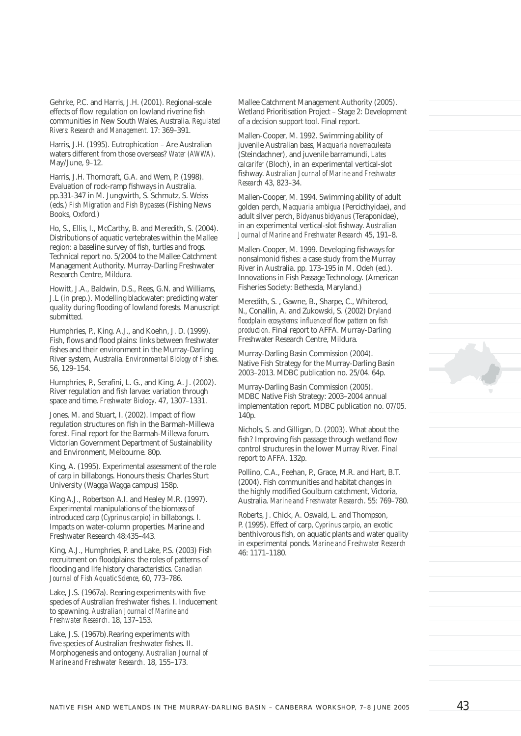Gehrke, P.C. and Harris, J.H. (2001). Regional-scale effects of flow regulation on lowland riverine fish communities in New South Wales, Australia. *Regulated Rivers: Research and Management.* 17: 369–391.

Harris, J.H. (1995). Eutrophication – Are Australian waters different from those overseas? *Water (AWWA)*. May/June, 9–12.

Harris, J.H. Thorncraft, G.A. and Wem, P. (1998). Evaluation of rock-ramp fishways in Australia. pp.331-347 in M. Jungwirth, S. Schmutz, S. Weiss (eds.) *Fish Migration and Fish Bypasses* (Fishing News Books, Oxford.)

Ho, S., Ellis, I., McCarthy, B. and Meredith, S. (2004). Distributions of aquatic vertebrates within the Mallee region: a baseline survey of fish, turtles and frogs. Technical report no. 5/2004 to the Mallee Catchment Management Authority. Murray-Darling Freshwater Research Centre, Mildura.

Howitt, J.A., Baldwin, D.S., Rees, G.N. and Williams, J.L (in prep.). Modelling blackwater: predicting water quality during flooding of lowland forests. Manuscript submitted.

Humphries, P., King. A.J., and Koehn, J. D. (1999). Fish, flows and flood plains: links between freshwater fishes and their environment in the Murray-Darling River system, Australia. *Environmental Biology of Fishes*. 56, 129–154.

Humphries, P., Serafini, L. G., and King, A. J. (2002). River regulation and fish larvae: variation through space and time. *Freshwater Biology*. 47, 1307–1331.

Jones, M. and Stuart, I. (2002). Impact of flow regulation structures on fish in the Barmah-Millewa forest. Final report for the Barmah-Millewa forum. Victorian Government Department of Sustainability and Environment, Melbourne. 80p.

King, A. (1995). Experimental assessment of the role of carp in billabongs. Honours thesis: Charles Sturt University (Wagga Wagga campus) 158p.

King A.J., Robertson A.I. and Healey M.R. (1997). Experimental manipulations of the biomass of introduced carp (*Cyprinus carpio*) in billabongs. I. Impacts on water-column properties. Marine and Freshwater Research 48:435–443.

King, A.J., Humphries, P. and Lake, P.S. (2003) Fish recruitment on floodplains: the roles of patterns of flooding and life history characteristics. *Canadian Journal of Fish Aquatic Science*, 60, 773–786.

Lake, J.S. (1967a). Rearing experiments with five species of Australian freshwater fishes. I. Inducement to spawning. *Australian Journal of Marine and Freshwater Research*. 18, 137–153.

Lake, J.S. (1967b).Rearing experiments with five species of Australian freshwater fishes. II. Morphogenesis and ontogeny. *Australian Journal of Marine and Freshwater Research*. 18, 155–173.

Mallee Catchment Management Authority (2005). Wetland Prioritisation Project – Stage 2: Development of a decision support tool. Final report.

Mallen-Cooper, M. 1992. Swimming ability of juvenile Australian bass, *Macquaria novemaculeata* (Steindachner), and juvenile barramundi, *Lates calcarifer* (Bloch), in an experimental vertical-slot fishway. Australian Journal of Marine and Freshwater *Research* 43, 823–34.

Mallen-Cooper, M. 1994. Swimming ability of adult golden perch, *Macquaria ambigua* (Percicthyidae), and adult silver perch, *Bidyanus bidyanus* (Teraponidae), in an experimental vertical-slot fishway. Australian *Journal of Marine and Freshwater Research* 45, 191–8.

Mallen-Cooper, M. 1999. Developing fishways for nonsalmonid fishes: a case study from the Murray River in Australia. pp. 173–195 *in* M. Odeh (ed.). Innovations in Fish Passage Technology. (American Fisheries Society: Bethesda, Maryland.)

Meredith, S. , Gawne, B., Sharpe, C., Whiterod, N., Conallin, A. and Zukowski, S. (2002) *Dryland floodplain ecosystems: influence of flow pattern on fish production.* Final report to AFFA. Murray-Darling Freshwater Research Centre, Mildura.

Murray-Darling Basin Commission (2004). Native Fish Strategy for the Murray-Darling Basin 2003–2013. MDBC publication no. 25/04. 64p.

Murray-Darling Basin Commission (2005). MDBC Native Fish Strategy: 2003–2004 annual implementation report. MDBC publication no. 07/05. 140p.

Nichols, S. and Gilligan, D. (2003). What about the fish? Improving fish passage through wetland flow control structures in the lower Murray River. Final report to AFFA. 132p.

Pollino, C.A., Feehan, P., Grace, M.R. and Hart, B.T. (2004). Fish communities and habitat changes in the highly modified Goulburn catchment, Victoria, Australia. *Marine and Freshwater Research*. 55: 769–780.

Roberts, J. Chick, A. Oswald, L. and Thompson, P. (1995). Effect of carp, *Cyprinus carpio*, an exotic benthivorous fish, on aquatic plants and water quality in experimental ponds. *Marine and Freshwater Research* 46: 1171–1180.